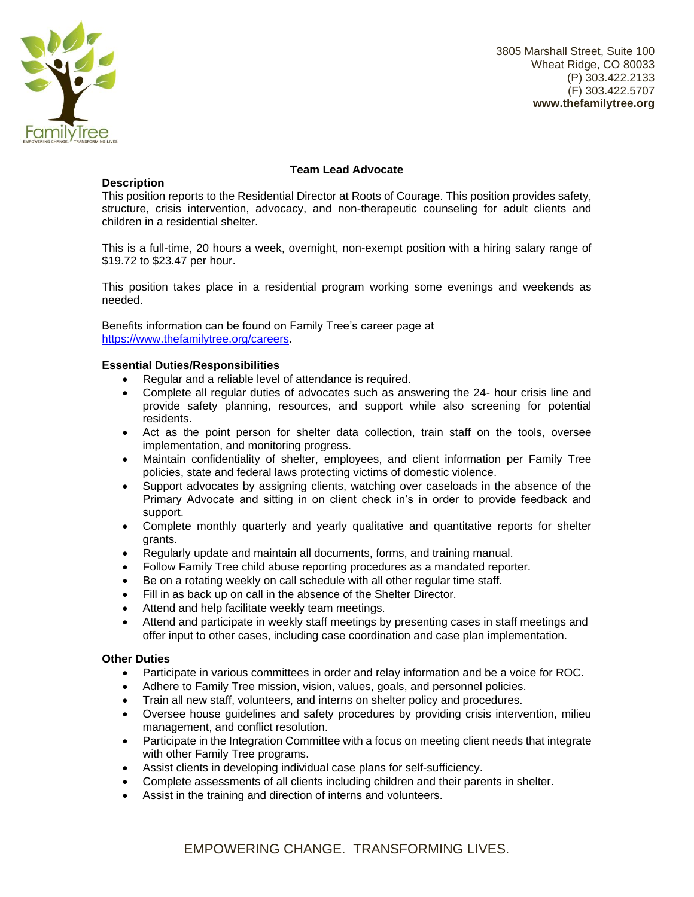

3805 Marshall Street, Suite 100 Wheat Ridge, CO 80033 (P) 303.422.2133 (F) 303.422.5707 **www.thefamilytree.org**

# **Description**

# **Team Lead Advocate**

This position reports to the Residential Director at Roots of Courage. This position provides safety, structure, crisis intervention, advocacy, and non-therapeutic counseling for adult clients and children in a residential shelter.

This is a full-time, 20 hours a week, overnight, non-exempt position with a hiring salary range of \$19.72 to \$23.47 per hour.

This position takes place in a residential program working some evenings and weekends as needed.

Benefits information can be found on Family Tree's career page at [https://www.thefamilytree.org/careers.](https://www.thefamilytree.org/careers)

## **Essential Duties/Responsibilities**

- Regular and a reliable level of attendance is required.
- Complete all regular duties of advocates such as answering the 24- hour crisis line and provide safety planning, resources, and support while also screening for potential residents.
- Act as the point person for shelter data collection, train staff on the tools, oversee implementation, and monitoring progress.
- Maintain confidentiality of shelter, employees, and client information per Family Tree policies, state and federal laws protecting victims of domestic violence.
- Support advocates by assigning clients, watching over caseloads in the absence of the Primary Advocate and sitting in on client check in's in order to provide feedback and support.
- Complete monthly quarterly and yearly qualitative and quantitative reports for shelter grants.
- Regularly update and maintain all documents, forms, and training manual.
- Follow Family Tree child abuse reporting procedures as a mandated reporter.
- Be on a rotating weekly on call schedule with all other regular time staff.
- Fill in as back up on call in the absence of the Shelter Director.
- Attend and help facilitate weekly team meetings.
- Attend and participate in weekly staff meetings by presenting cases in staff meetings and offer input to other cases, including case coordination and case plan implementation.

## **Other Duties**

- Participate in various committees in order and relay information and be a voice for ROC.
- Adhere to Family Tree mission, vision, values, goals, and personnel policies.
- Train all new staff, volunteers, and interns on shelter policy and procedures.
- Oversee house guidelines and safety procedures by providing crisis intervention, milieu management, and conflict resolution.
- Participate in the Integration Committee with a focus on meeting client needs that integrate with other Family Tree programs.
- Assist clients in developing individual case plans for self-sufficiency.
- Complete assessments of all clients including children and their parents in shelter.
- Assist in the training and direction of interns and volunteers.